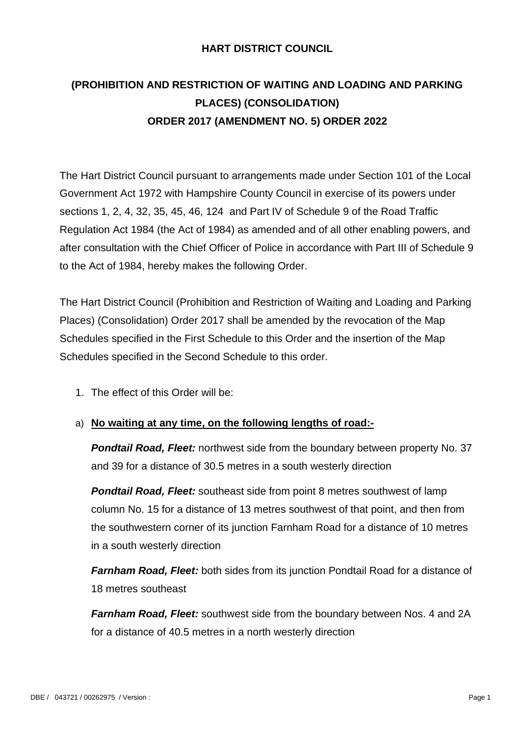#### **HART DISTRICT COUNCIL**

# **(PROHIBITION AND RESTRICTION OF WAITING AND LOADING AND PARKING PLACES) (CONSOLIDATION) ORDER 2017 (AMENDMENT NO. 5) ORDER 2022**

The Hart District Council pursuant to arrangements made under Section 101 of the Local Government Act 1972 with Hampshire County Council in exercise of its powers under sections 1, 2, 4, 32, 35, 45, 46, 124 and Part IV of Schedule 9 of the Road Traffic Regulation Act 1984 (the Act of 1984) as amended and of all other enabling powers, and after consultation with the Chief Officer of Police in accordance with Part III of Schedule 9 to the Act of 1984, hereby makes the following Order.

The Hart District Council (Prohibition and Restriction of Waiting and Loading and Parking Places) (Consolidation) Order 2017 shall be amended by the revocation of the Map Schedules specified in the First Schedule to this Order and the insertion of the Map Schedules specified in the Second Schedule to this order.

1. The effect of this Order will be:

#### a) **No waiting at any time, on the following lengths of road:-**

*Pondtail Road, Fleet:* northwest side from the boundary between property No. 37 and 39 for a distance of 30.5 metres in a south westerly direction

*Pondtail Road, Fleet:* southeast side from point 8 metres southwest of lamp column No. 15 for a distance of 13 metres southwest of that point, and then from the southwestern corner of its junction Farnham Road for a distance of 10 metres in a south westerly direction

*Farnham Road, Fleet:* both sides from its junction Pondtail Road for a distance of 18 metres southeast

*Farnham Road, Fleet:* southwest side from the boundary between Nos. 4 and 2A for a distance of 40.5 metres in a north westerly direction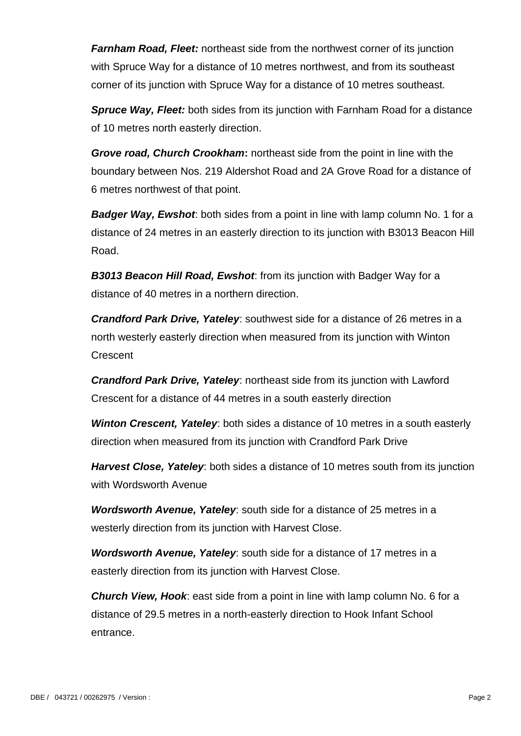*Farnham Road, Fleet:* northeast side from the northwest corner of its junction with Spruce Way for a distance of 10 metres northwest, and from its southeast corner of its junction with Spruce Way for a distance of 10 metres southeast.

*Spruce Way, Fleet:* both sides from its junction with Farnham Road for a distance of 10 metres north easterly direction.

*Grove road, Church Crookham***:** northeast side from the point in line with the boundary between Nos. 219 Aldershot Road and 2A Grove Road for a distance of 6 metres northwest of that point.

*Badger Way, Ewshot*: both sides from a point in line with lamp column No. 1 for a distance of 24 metres in an easterly direction to its junction with B3013 Beacon Hill Road.

*B3013 Beacon Hill Road, Ewshot*: from its junction with Badger Way for a distance of 40 metres in a northern direction.

*Crandford Park Drive, Yateley*: southwest side for a distance of 26 metres in a north westerly easterly direction when measured from its junction with Winton **Crescent** 

*Crandford Park Drive, Yateley*: northeast side from its junction with Lawford Crescent for a distance of 44 metres in a south easterly direction

*Winton Crescent, Yateley*: both sides a distance of 10 metres in a south easterly direction when measured from its junction with Crandford Park Drive

*Harvest Close, Yateley*: both sides a distance of 10 metres south from its junction with Wordsworth Avenue

*Wordsworth Avenue, Yateley*: south side for a distance of 25 metres in a westerly direction from its junction with Harvest Close.

*Wordsworth Avenue, Yateley*: south side for a distance of 17 metres in a easterly direction from its junction with Harvest Close.

*Church View, Hook*: east side from a point in line with lamp column No. 6 for a distance of 29.5 metres in a north-easterly direction to Hook Infant School entrance.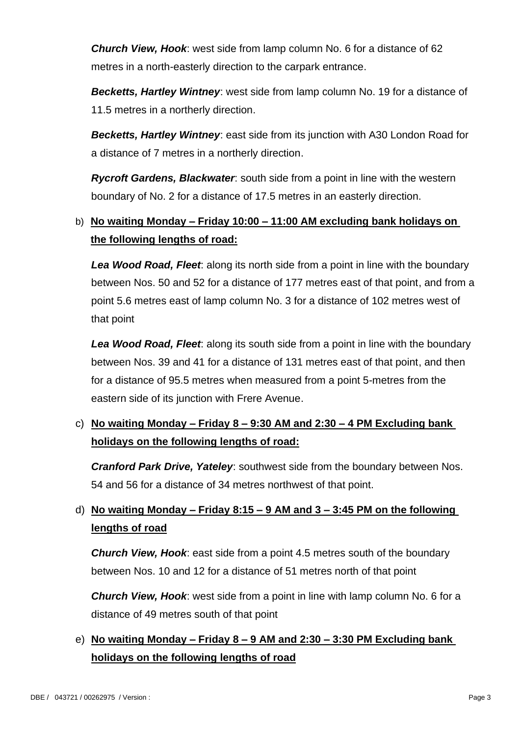*Church View, Hook*: west side from lamp column No. 6 for a distance of 62 metres in a north-easterly direction to the carpark entrance.

*Becketts, Hartley Wintney*: west side from lamp column No. 19 for a distance of 11.5 metres in a northerly direction.

*Becketts, Hartley Wintney*: east side from its junction with A30 London Road for a distance of 7 metres in a northerly direction.

*Rycroft Gardens, Blackwater*: south side from a point in line with the western boundary of No. 2 for a distance of 17.5 metres in an easterly direction.

### b) **No waiting Monday – Friday 10:00 – 11:00 AM excluding bank holidays on the following lengths of road:**

*Lea Wood Road, Fleet*: along its north side from a point in line with the boundary between Nos. 50 and 52 for a distance of 177 metres east of that point, and from a point 5.6 metres east of lamp column No. 3 for a distance of 102 metres west of that point

*Lea Wood Road, Fleet*: along its south side from a point in line with the boundary between Nos. 39 and 41 for a distance of 131 metres east of that point, and then for a distance of 95.5 metres when measured from a point 5-metres from the eastern side of its junction with Frere Avenue.

### c) **No waiting Monday – Friday 8 – 9:30 AM and 2:30 – 4 PM Excluding bank holidays on the following lengths of road:**

*Cranford Park Drive, Yateley*: southwest side from the boundary between Nos. 54 and 56 for a distance of 34 metres northwest of that point.

## d) **No waiting Monday – Friday 8:15 – 9 AM and 3 – 3:45 PM on the following lengths of road**

*Church View, Hook*: east side from a point 4.5 metres south of the boundary between Nos. 10 and 12 for a distance of 51 metres north of that point

*Church View, Hook*: west side from a point in line with lamp column No. 6 for a distance of 49 metres south of that point

## e) **No waiting Monday – Friday 8 – 9 AM and 2:30 – 3:30 PM Excluding bank holidays on the following lengths of road**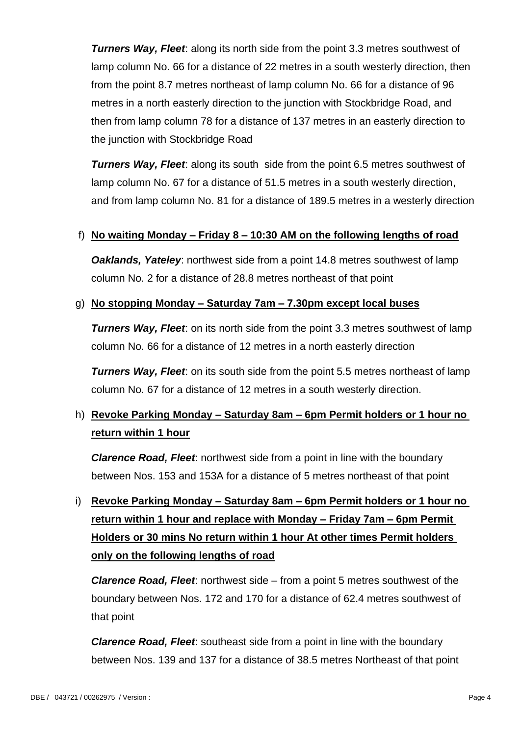*Turners Way, Fleet: along its north side from the point 3.3 metres southwest of* lamp column No. 66 for a distance of 22 metres in a south westerly direction, then from the point 8.7 metres northeast of lamp column No. 66 for a distance of 96 metres in a north easterly direction to the junction with Stockbridge Road, and then from lamp column 78 for a distance of 137 metres in an easterly direction to the junction with Stockbridge Road

**Turners Way, Fleet:** along its south side from the point 6.5 metres southwest of lamp column No. 67 for a distance of 51.5 metres in a south westerly direction, and from lamp column No. 81 for a distance of 189.5 metres in a westerly direction

#### f) **No waiting Monday – Friday 8 – 10:30 AM on the following lengths of road**

*Oaklands, Yateley*: northwest side from a point 14.8 metres southwest of lamp column No. 2 for a distance of 28.8 metres northeast of that point

#### g) **No stopping Monday – Saturday 7am – 7.30pm except local buses**

*Turners Way, Fleet:* on its north side from the point 3.3 metres southwest of lamp column No. 66 for a distance of 12 metres in a north easterly direction

*Turners Way, Fleet:* on its south side from the point 5.5 metres northeast of lamp column No. 67 for a distance of 12 metres in a south westerly direction.

### h) **Revoke Parking Monday – Saturday 8am – 6pm Permit holders or 1 hour no return within 1 hour**

*Clarence Road, Fleet*: northwest side from a point in line with the boundary between Nos. 153 and 153A for a distance of 5 metres northeast of that point

# i) **Revoke Parking Monday – Saturday 8am – 6pm Permit holders or 1 hour no return within 1 hour and replace with Monday – Friday 7am – 6pm Permit Holders or 30 mins No return within 1 hour At other times Permit holders only on the following lengths of road**

*Clarence Road, Fleet*: northwest side – from a point 5 metres southwest of the boundary between Nos. 172 and 170 for a distance of 62.4 metres southwest of that point

*Clarence Road, Fleet*: southeast side from a point in line with the boundary between Nos. 139 and 137 for a distance of 38.5 metres Northeast of that point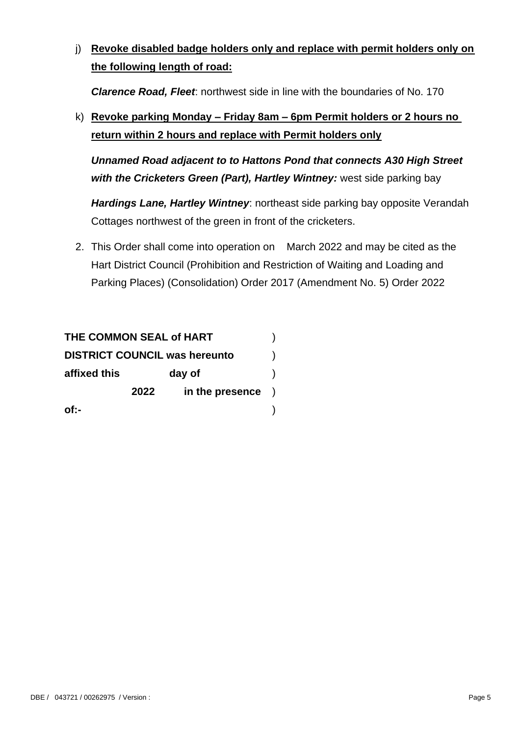j) **Revoke disabled badge holders only and replace with permit holders only on the following length of road:**

*Clarence Road, Fleet*: northwest side in line with the boundaries of No. 170

k) **Revoke parking Monday – Friday 8am – 6pm Permit holders or 2 hours no return within 2 hours and replace with Permit holders only**

*Unnamed Road adjacent to to Hattons Pond that connects A30 High Street with the Cricketers Green (Part), Hartley Wintney:* west side parking bay

*Hardings Lane, Hartley Wintney*: northeast side parking bay opposite Verandah Cottages northwest of the green in front of the cricketers.

2. This Order shall come into operation on March 2022 and may be cited as the Hart District Council (Prohibition and Restriction of Waiting and Loading and Parking Places) (Consolidation) Order 2017 (Amendment No. 5) Order 2022

| THE COMMON SEAL of HART              |        |                          |  |
|--------------------------------------|--------|--------------------------|--|
| <b>DISTRICT COUNCIL was hereunto</b> |        |                          |  |
| affixed this                         | day of |                          |  |
|                                      | 2022   | in the presence $\qquad$ |  |
| of:-                                 |        |                          |  |